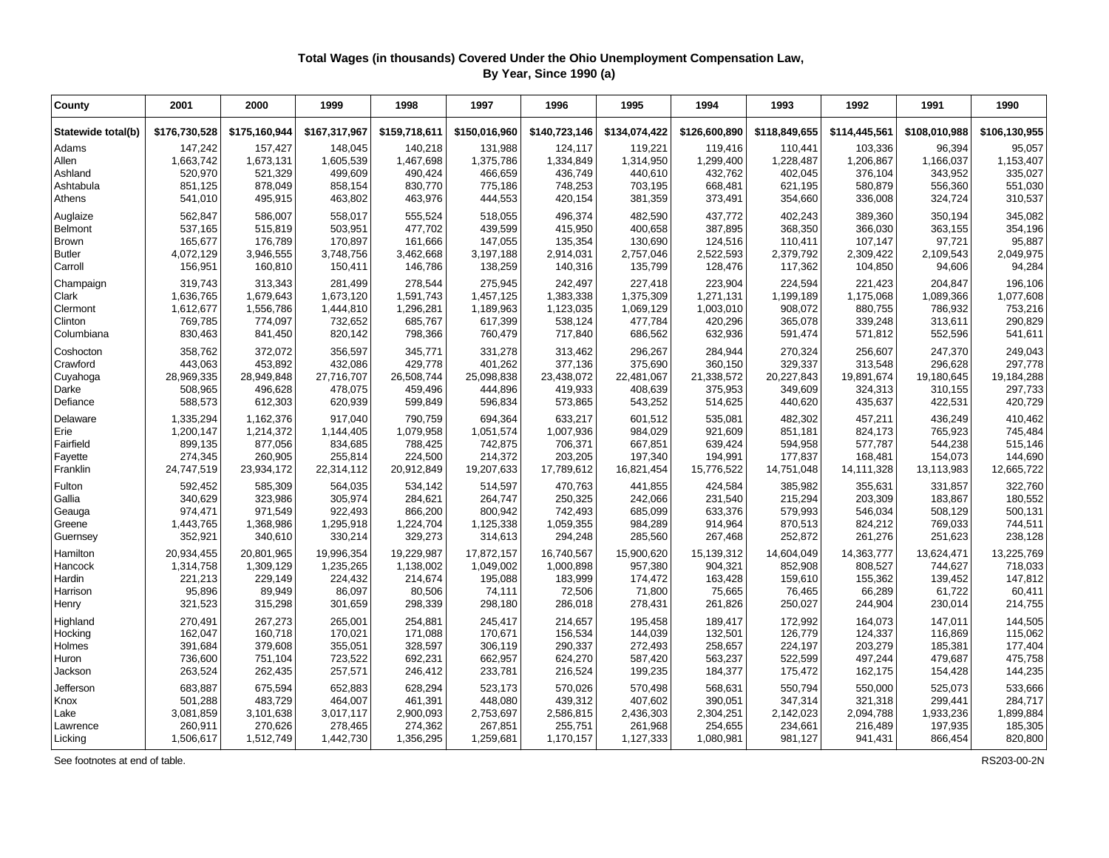## **Total Wages (in thousands) Covered Under the Ohio Unemployment Compensation Law, By Year, Since 1990 (a)**

| County             | 2001          | 2000          | 1999          | 1998          | 1997          | 1996          | 1995          | 1994          | 1993          | 1992          | 1991          | 1990          |
|--------------------|---------------|---------------|---------------|---------------|---------------|---------------|---------------|---------------|---------------|---------------|---------------|---------------|
| Statewide total(b) | \$176,730,528 | \$175,160,944 | \$167,317,967 | \$159,718,611 | \$150,016,960 | \$140,723,146 | \$134,074,422 | \$126,600,890 | \$118,849,655 | \$114,445,561 | \$108,010,988 | \$106,130,955 |
| Adams              | 147,242       | 157,427       | 148,045       | 140,218       | 131,988       | 124,117       | 119,221       | 119,416       | 110,441       | 103,336       | 96,394        | 95,057        |
| Allen              | 1,663,742     | 1,673,131     | 1,605,539     | 1,467,698     | 1,375,786     | 1,334,849     | 1,314,950     | 1,299,400     | 1,228,487     | 1,206,867     | 1,166,037     | 1,153,407     |
| Ashland            | 520,970       | 521,329       | 499,609       | 490,424       | 466,659       | 436,749       | 440,610       | 432,762       | 402,045       | 376,104       | 343,952       | 335,027       |
| Ashtabula          | 851,125       | 878,049       | 858,154       | 830,770       | 775,186       | 748,253       | 703,195       | 668,481       | 621,195       | 580,879       | 556,360       | 551,030       |
| Athens             | 541,010       | 495,915       | 463,802       | 463,976       | 444,553       | 420,154       | 381,359       | 373,491       | 354,660       | 336,008       | 324,724       | 310,537       |
| Auglaize           | 562,847       | 586,007       | 558,017       | 555,524       | 518,055       | 496,374       | 482,590       | 437,772       | 402,243       | 389.360       | 350,194       | 345,082       |
| Belmont            | 537,165       | 515,819       | 503,951       | 477,702       | 439,599       | 415,950       | 400,658       | 387,895       | 368,350       | 366,030       | 363,155       | 354,196       |
| Brown              | 165,677       | 176,789       | 170,897       | 161,666       | 147,055       | 135,354       | 130,690       | 124,516       | 110,411       | 107,147       | 97,721        | 95,887        |
| <b>Butler</b>      | 4,072,129     | 3,946,555     | 3,748,756     | 3,462,668     | 3,197,188     | 2,914,031     | 2,757,046     | 2,522,593     | 2,379,792     | 2,309,422     | 2,109,543     | 2,049,975     |
| Carroll            | 156,951       | 160,810       | 150,411       | 146,786       | 138,259       | 140,316       | 135,799       | 128,476       | 117,362       | 104,850       | 94,606        | 94,284        |
| Champaign          | 319,743       | 313,343       | 281,499       | 278,544       | 275,945       | 242,497       | 227,418       | 223,904       | 224,594       | 221,423       | 204.847       | 196,106       |
| Clark              | 1,636,765     | 1,679,643     | 1,673,120     | 1,591,743     | 1,457,125     | 1,383,338     | 1,375,309     | 1,271,131     | 1,199,189     | 1,175,068     | 1,089,366     | 1,077,608     |
| Clermont           | 1,612,677     | 1,556,786     | 1,444,810     | 1,296,281     | 1,189,963     | 1,123,035     | 1,069,129     | 1,003,010     | 908,072       | 880,755       | 786,932       | 753,216       |
| Clinton            | 769,785       | 774,097       | 732,652       | 685,767       | 617,399       | 538,124       | 477,784       | 420.296       | 365,078       | 339,248       | 313,611       | 290,829       |
| Columbiana         | 830,463       | 841,450       | 820,142       | 798,366       | 760,479       | 717,840       | 686,562       | 632,936       | 591,474       | 571,812       | 552,596       | 541,611       |
| Coshocton          | 358,762       | 372,072       | 356,597       | 345,771       | 331,278       | 313,462       | 296,267       | 284,944       | 270,324       | 256,607       | 247,370       | 249,043       |
| Crawford           | 443,063       | 453,892       | 432,086       | 429,778       | 401,262       | 377,136       | 375,690       | 360,150       | 329,337       | 313,548       | 296,628       | 297,778       |
| Cuyahoga           | 28,969,335    | 28,949,848    | 27,716,707    | 26,508,744    | 25,098,838    | 23,438,072    | 22,481,067    | 21,338,572    | 20,227,843    | 19,891,674    | 19,180,645    | 19,184,288    |
| Darke              | 508,965       | 496,628       | 478,075       | 459,496       | 444,896       | 419,933       | 408,639       | 375,953       | 349,609       | 324,313       | 310,155       | 297,733       |
| Defiance           | 588,573       | 612,303       | 620,939       | 599,849       | 596,834       | 573,865       | 543,252       | 514,625       | 440,620       | 435,637       | 422,531       | 420,729       |
| Delaware           | 1,335,294     | 1,162,376     | 917,040       | 790,759       | 694,364       | 633,217       | 601,512       | 535,081       | 482,302       | 457,211       | 436,249       | 410,462       |
| Erie               | 1,200,147     | 1,214,372     | 1,144,405     | 1,079,958     | 1,051,574     | 1,007,936     | 984,029       | 921,609       | 851,181       | 824,173       | 765,923       | 745,484       |
| Fairfield          | 899,135       | 877,056       | 834,685       | 788,425       | 742,875       | 706,371       | 667,851       | 639,424       | 594,958       | 577,787       | 544,238       | 515,146       |
| Fayette            | 274,345       | 260,905       | 255,814       | 224,500       | 214,372       | 203,205       | 197,340       | 194,991       | 177,837       | 168,481       | 154,073       | 144,690       |
| Franklin           | 24,747,519    | 23,934,172    | 22,314,112    | 20,912,849    | 19,207,633    | 17,789,612    | 16,821,454    | 15,776,522    | 14,751,048    | 14,111,328    | 13,113,983    | 12,665,722    |
| Fulton             | 592,452       | 585,309       | 564,035       | 534,142       | 514,597       | 470,763       | 441,855       | 424,584       | 385,982       | 355,631       | 331,857       | 322,760       |
| Gallia             | 340,629       | 323,986       | 305,974       | 284,621       | 264,747       | 250,325       | 242,066       | 231,540       | 215,294       | 203,309       | 183,867       | 180,552       |
| Geauga             | 974,471       | 971,549       | 922,493       | 866,200       | 800,942       | 742,493       | 685,099       | 633,376       | 579,993       | 546,034       | 508,129       | 500,131       |
| Greene             | 1,443,765     | 1,368,986     | 1,295,918     | 1,224,704     | 1,125,338     | 1,059,355     | 984,289       | 914,964       | 870,513       | 824,212       | 769,033       | 744,511       |
| Guernsey           | 352,921       | 340,610       | 330,214       | 329,273       | 314,613       | 294,248       | 285,560       | 267,468       | 252,872       | 261,276       | 251,623       | 238,128       |
| Hamilton           | 20,934,455    | 20,801,965    | 19,996,354    | 19,229,987    | 17,872,157    | 16,740,567    | 15,900,620    | 15,139,312    | 14,604,049    | 14,363,777    | 13,624,471    | 13,225,769    |
| Hancock            | 1,314,758     | 1,309,129     | 1,235,265     | 1,138,002     | 1,049,002     | 1,000,898     | 957,380       | 904,321       | 852,908       | 808,527       | 744,627       | 718,033       |
| Hardin             | 221,213       | 229,149       | 224,432       | 214,674       | 195,088       | 183,999       | 174,472       | 163,428       | 159,610       | 155,362       | 139,452       | 147,812       |
| Harrison           | 95,896        | 89,949        | 86,097        | 80,506        | 74,111        | 72,506        | 71,800        | 75,665        | 76,465        | 66,289        | 61,722        | 60,411        |
| Henry              | 321,523       | 315,298       | 301,659       | 298,339       | 298,180       | 286,018       | 278,431       | 261,826       | 250,027       | 244,904       | 230,014       | 214,755       |
| Highland           | 270,491       | 267,273       | 265,001       | 254,881       | 245,417       | 214,657       | 195,458       | 189,417       | 172,992       | 164,073       | 147,011       | 144,505       |
| Hocking            | 162,047       | 160,718       | 170,021       | 171,088       | 170,671       | 156,534       | 144,039       | 132,501       | 126,779       | 124,337       | 116,869       | 115,062       |
| Holmes             | 391,684       | 379,608       | 355,051       | 328,597       | 306,119       | 290,337       | 272,493       | 258,657       | 224,197       | 203,279       | 185,381       | 177,404       |
| Huron              | 736,600       | 751,104       | 723,522       | 692,231       | 662,957       | 624,270       | 587,420       | 563,237       | 522,599       | 497,244       | 479,687       | 475,758       |
| Jackson            | 263,524       | 262,435       | 257,571       | 246,412       | 233,781       | 216,524       | 199,235       | 184,377       | 175,472       | 162,175       | 154,428       | 144,235       |
| Jefferson          | 683,887       | 675,594       | 652,883       | 628,294       | 523,173       | 570,026       | 570,498       | 568,631       | 550,794       | 550,000       | 525,073       | 533,666       |
| Knox               | 501,288       | 483,729       | 464,007       | 461,391       | 448,080       | 439,312       | 407,602       | 390,051       | 347,314       | 321,318       | 299,441       | 284,717       |
| Lake               | 3,081,859     | 3,101,638     | 3,017,117     | 2,900,093     | 2,753,697     | 2,586,815     | 2,436,303     | 2,304,251     | 2,142,023     | 2,094,788     | 1,933,236     | 1,899,884     |
| Lawrence           | 260,911       | 270,626       | 278,465       | 274,362       | 267,851       | 255,751       | 261,968       | 254,655       | 234,661       | 216,489       | 197,935       | 185,305       |
| Licking            | 1,506,617     | 1,512,749     | 1,442,730     | 1,356,295     | 1,259,681     | 1,170,157     | 1,127,333     | 1,080,981     | 981,127       | 941,431       | 866,454       | 820,800       |

See footnotes at end of table. RS203-00-2N